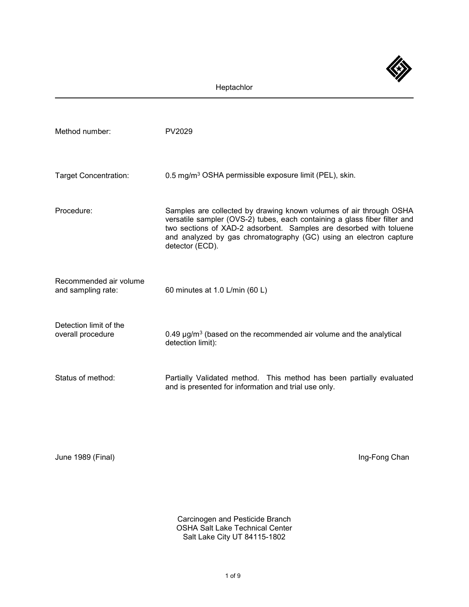

| Method number:                               | PV2029                                                                                                                                                                                                                                                                                                        |
|----------------------------------------------|---------------------------------------------------------------------------------------------------------------------------------------------------------------------------------------------------------------------------------------------------------------------------------------------------------------|
| <b>Target Concentration:</b>                 | 0.5 mg/m <sup>3</sup> OSHA permissible exposure limit (PEL), skin.                                                                                                                                                                                                                                            |
| Procedure:                                   | Samples are collected by drawing known volumes of air through OSHA<br>versatile sampler (OVS-2) tubes, each containing a glass fiber filter and<br>two sections of XAD-2 adsorbent. Samples are desorbed with toluene<br>and analyzed by gas chromatography (GC) using an electron capture<br>detector (ECD). |
| Recommended air volume<br>and sampling rate: | 60 minutes at 1.0 L/min (60 L)                                                                                                                                                                                                                                                                                |
| Detection limit of the<br>overall procedure  | 0.49 $\mu$ g/m <sup>3</sup> (based on the recommended air volume and the analytical<br>detection limit):                                                                                                                                                                                                      |
| Status of method:                            | Partially Validated method. This method has been partially evaluated<br>and is presented for information and trial use only.                                                                                                                                                                                  |

June 1989 (Final) **Ing-Fong Chan** 

Carcinogen and Pesticide Branch OSHA Salt Lake Technical Center Salt Lake City UT 84115-1802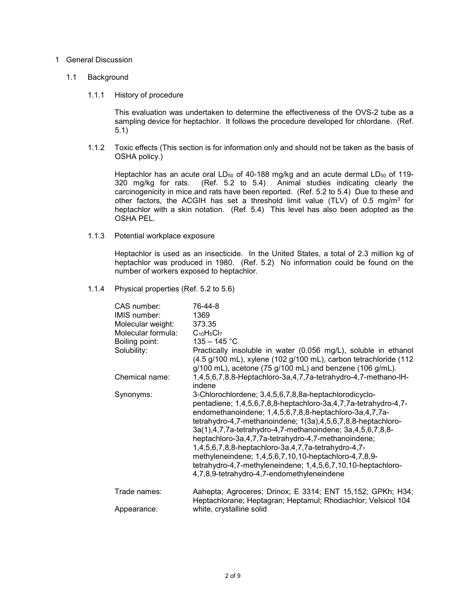## 1 General Discussion

## 1.1 Background

## 1.1.1 History of procedure

This evaluation was undertaken to determine the effectiveness of the OVS-2 tube as a sampling device for heptachlor. It follows the procedure developed for chlordane. (Ref. 5.1)

1.1.2 Toxic effects (This section is for information only and should not be taken as the basis of OSHA policy.)

Heptachlor has an acute oral LD<sub>50</sub> of 40-188 mg/kg and an acute dermal LD<sub>50</sub> of 119-<br>320 mg/kg for rats. (Ref. 5.2 to 5.4) Animal studies indicating clearly the  $(Ref. 5.2 to 5.4)$  Animal studies indicating clearly the carcinogenicity in mice and rats have been reported. (Ref. 5.2 to 5.4) Due to these and other factors, the ACGIH has set a threshold limit value (TLV) of 0.5 mg/m<sup>3</sup> for heptachlor with a skin notation. (Ref. 5.4) This level has also been adopted as the OSHA PEL.

1.1.3 Potential workplace exposure

Heptachlor is used as an insecticide. In the United States, a total of 2.3 million kg of heptachlor was produced in 1980. (Ref. 5.2) No information could be found on the number of workers exposed to heptachlor.

1.1.4 Physical properties (Ref. 5.2 to 5.6)

| CAS number:        | 76-44-8                                                                                                                                                                                                                                                                                                                                                                                                                                                                                                                                                                                                |
|--------------------|--------------------------------------------------------------------------------------------------------------------------------------------------------------------------------------------------------------------------------------------------------------------------------------------------------------------------------------------------------------------------------------------------------------------------------------------------------------------------------------------------------------------------------------------------------------------------------------------------------|
| IMIS number:       | 1369                                                                                                                                                                                                                                                                                                                                                                                                                                                                                                                                                                                                   |
| Molecular weight:  | 373.35                                                                                                                                                                                                                                                                                                                                                                                                                                                                                                                                                                                                 |
| Molecular formula: | $C_{10}H_5Cl_7$                                                                                                                                                                                                                                                                                                                                                                                                                                                                                                                                                                                        |
| Boiling point:     | $135 - 145$ °C                                                                                                                                                                                                                                                                                                                                                                                                                                                                                                                                                                                         |
| Solubility:        | Practically insoluble in water (0.056 mg/L), soluble in ethanol<br>$(4.5 g/100 mL)$ , xylene $(102 g/100 mL)$ , carbon tetrachloride $(112 g)$<br>$g/100$ mL), acetone (75 $g/100$ mL) and benzene (106 $g/mL$ ).                                                                                                                                                                                                                                                                                                                                                                                      |
| Chemical name:     | 1,4,5,6,7,8,8-Heptachloro-3a,4,7,7a-tetrahydro-4,7-methano-IH-<br>indene                                                                                                                                                                                                                                                                                                                                                                                                                                                                                                                               |
| Synonyms:          | 3-Chlorochlordene; 3,4,5,6,7,8,8a-heptachlorodicyclo-<br>pentadiene; 1,4,5,6,7,8,8-heptachloro-3a,4,7,7a-tetrahydro-4,7-<br>endomethanoindene; 1,4,5,6,7,8,8-heptachloro-3a,4,7,7a-<br>tetrahydro-4,7-methanoindene; 1(3a),4,5,6,7,8,8-heptachloro-<br>3a(1),4,7,7a-tetrahydro-4,7-methanoindene; 3a,4,5,6,7,8,8-<br>heptachloro-3a,4,7,7a-tetrahydro-4,7-methanoindene;<br>1,4,5,6,7,8,8-heptachloro-3a,4,7,7a-tetrahydro-4,7-<br>methyleneindene; 1,4,5,6,7,10,10-heptachloro-4,7,8,9-<br>tetrahydro-4,7-methyleneindene; 1,4,5,6,7,10,10-heptachloro-<br>4,7,8,9-tetrahydro-4,7-endomethyleneindene |
| Trade names:       | Aahepta; Agroceres; Drinox; E 3314; ENT 15,152; GPKh; H34;<br>Heptachlorane; Heptagran; Heptamul; Rhodiachlor; Velsicol 104                                                                                                                                                                                                                                                                                                                                                                                                                                                                            |
| Appearance:        | white, crystalline solid                                                                                                                                                                                                                                                                                                                                                                                                                                                                                                                                                                               |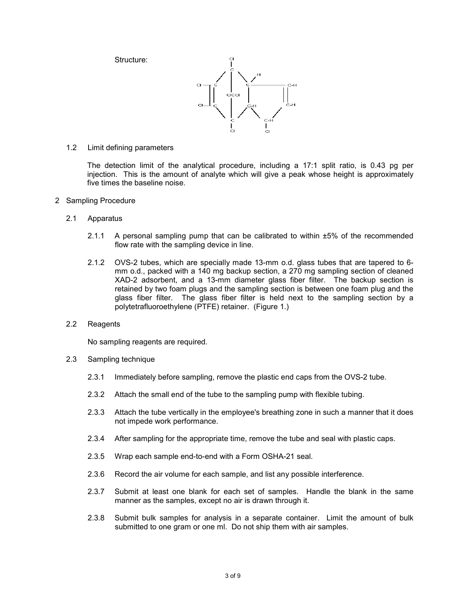Structure:



1.2 Limit defining parameters

The detection limit of the analytical procedure, including a 17:1 split ratio, is 0.43 pg per injection. This is the amount of analyte which will give a peak whose height is approximately five times the baseline noise.

- 2 Sampling Procedure
	- 2.1 Apparatus
		- 2.1.1 A personal sampling pump that can be calibrated to within ±5% of the recommended flow rate with the sampling device in line.
		- 2.1.2 OVS-2 tubes, which are specially made 13-mm o.d. glass tubes that are tapered to 6 mm o.d., packed with a 140 mg backup section, a 270 mg sampling section of cleaned XAD-2 adsorbent, and a 13-mm diameter glass fiber filter. The backup section is retained by two foam plugs and the sampling section is between one foam plug and the glass fiber filter. The glass fiber filter is held next to the sampling section by a polytetrafluoroethylene (PTFE) retainer. (Figure 1.)
	- 2.2 Reagents

No sampling reagents are required.

- 2.3 Sampling technique
	- 2.3.1 Immediately before sampling, remove the plastic end caps from the OVS-2 tube.
	- 2.3.2 Attach the small end of the tube to the sampling pump with flexible tubing.
	- 2.3.3 Attach the tube vertically in the employee's breathing zone in such a manner that it does not impede work performance.
	- 2.3.4 After sampling for the appropriate time, remove the tube and seal with plastic caps.
	- 2.3.5 Wrap each sample end-to-end with a Form OSHA-21 seal.
	- 2.3.6 Record the air volume for each sample, and list any possible interference.
	- 2.3.7 Submit at least one blank for each set of samples. Handle the blank in the same manner as the samples, except no air is drawn through it.
	- 2.3.8 Submit bulk samples for analysis in a separate container. Limit the amount of bulk submitted to one gram or one ml. Do not ship them with air samples.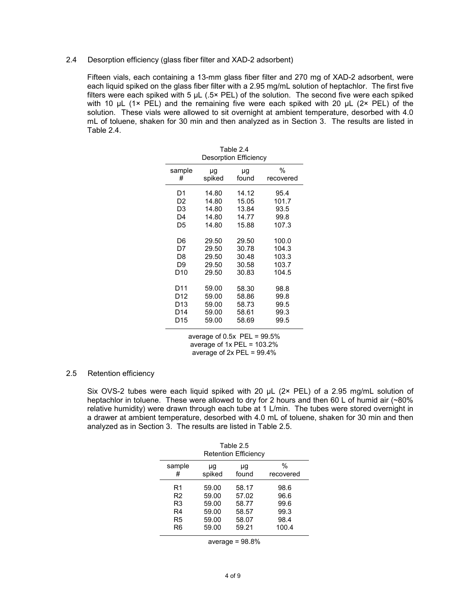## 2.4 Desorption efficiency (glass fiber filter and XAD-2 adsorbent)

Fifteen vials, each containing a 13-mm glass fiber filter and 270 mg of XAD-2 adsorbent, were each liquid spiked on the glass fiber filter with a 2.95 mg/mL solution of heptachlor. The first five filters were each spiked with 5  $\mu$ L (.5× PEL) of the solution. The second five were each spiked with 10  $\mu$ L (1× PEL) and the remaining five were each spiked with 20  $\mu$ L (2× PEL) of the solution. These vials were allowed to sit overnight at ambient temperature, desorbed with 4.0 mL of toluene, shaken for 30 min and then analyzed as in Section 3. The results are listed in Table 2.4.

| Table 2.4<br><b>Desorption Efficiency</b> |        |       |           |
|-------------------------------------------|--------|-------|-----------|
| sample                                    | μg     | μg    | %         |
| #                                         | spiked | found | recovered |
| D1                                        | 14.80  | 14.12 | 95.4      |
| D <sub>2</sub>                            | 14.80  | 15.05 | 101.7     |
| D3                                        | 14.80  | 13.84 | 93.5      |
| D4                                        | 14.80  | 14.77 | 99.8      |
| D5                                        | 14.80  | 15.88 | 107.3     |
| D6                                        | 29.50  | 29.50 | 100.0     |
| D7                                        | 29.50  | 30.78 | 104.3     |
| D8                                        | 29.50  | 30.48 | 103.3     |
| D9                                        | 29.50  | 30.58 | 103.7     |
| D10                                       | 29.50  | 30.83 | 104.5     |
| D11                                       | 59.00  | 58.30 | 98.8      |
| D12                                       | 59.00  | 58.86 | 99.8      |
| D13                                       | 59.00  | 58.73 | 99.5      |
| D14                                       | 59.00  | 58.61 | 99.3      |
| D15                                       | 59.00  | 58.69 | 99.5      |

average of  $0.5x$  PEL =  $99.5\%$ average of 1x PEL = 103.2% average of 2x PEL = 99.4%

#### 2.5 Retention efficiency

Six OVS-2 tubes were each liquid spiked with 20 µL (2× PEL) of a 2.95 mg/mL solution of heptachlor in toluene. These were allowed to dry for 2 hours and then 60 L of humid air (~80% relative humidity) were drawn through each tube at 1 L/min. The tubes were stored overnight in a drawer at ambient temperature, desorbed with 4.0 mL of toluene, shaken for 30 min and then analyzed as in Section 3. The results are listed in Table 2.5.

| Table 2.5<br><b>Retention Efficiency</b> |        |       |           |
|------------------------------------------|--------|-------|-----------|
| sample                                   | μg     | μg    | %         |
| #                                        | spiked | found | recovered |
| R1                                       | 59.00  | 58.17 | 98.6      |
| R <sub>2</sub>                           | 59.00  | 57.02 | 96.6      |
| R3                                       | 59.00  | 58.77 | 99.6      |
| R4                                       | 59.00  | 58.57 | 99.3      |
| R5                                       | 59.00  | 58.07 | 98.4      |
| R6                                       | 59.00  | 59.21 | 100.4     |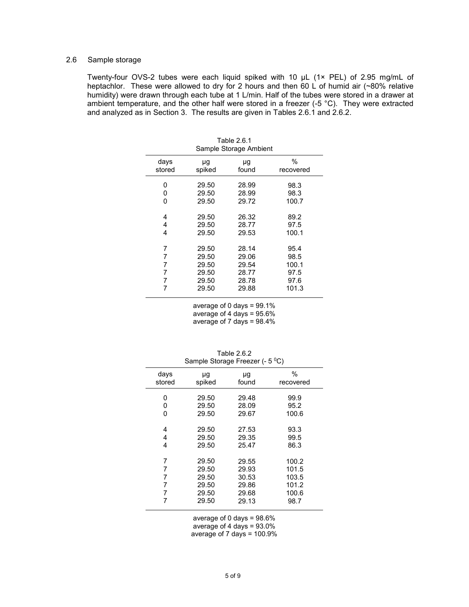# 2.6 Sample storage

Twenty-four OVS-2 tubes were each liquid spiked with 10 µL (1× PEL) of 2.95 mg/mL of heptachlor. These were allowed to dry for 2 hours and then 60 L of humid air (~80% relative humidity) were drawn through each tube at 1 L/min. Half of the tubes were stored in a drawer at ambient temperature, and the other half were stored in a freezer (-5 °C). They were extracted and analyzed as in Section 3. The results are given in Tables 2.6.1 and 2.6.2.

| TADI <del>E</del> 2.0. I<br>Sample Storage Ambient |        |       |           |
|----------------------------------------------------|--------|-------|-----------|
| days                                               | μg     | μg    | $\%$      |
| stored                                             | spiked | found | recovered |
| 0                                                  | 29.50  | 28.99 | 98.3      |
| 0                                                  | 29.50  | 28.99 | 98.3      |
| 0                                                  | 29.50  | 29.72 | 100.7     |
| 4                                                  | 29.50  | 26.32 | 89.2      |
| 4                                                  | 29.50  | 28.77 | 97.5      |
| 4                                                  | 29.50  | 29.53 | 100.1     |
| 7                                                  | 29.50  | 28.14 | 95.4      |
| 7                                                  | 29.50  | 29.06 | 98.5      |
| 7                                                  | 29.50  | 29.54 | 100.1     |
| 7                                                  | 29.50  | 28.77 | 97.5      |
| 7                                                  | 29.50  | 28.78 | 97.6      |
| 7                                                  | 29.50  | 29.88 | 101.3     |

 $Table 2.6.1$ 

average of 0 days =  $99.1\%$ average of 4 days = 95.6% average of 7 days = 98.4%

| Sample Storage Freezer (- 5 °C) |        |       |           |
|---------------------------------|--------|-------|-----------|
| days                            | μg     | μg    | $\%$      |
| stored                          | spiked | found | recovered |
| 0                               | 29.50  | 29.48 | 99.9      |
| 0                               | 29.50  | 28.09 | 95.2      |
| 0                               | 29.50  | 29.67 | 100.6     |
| 4                               | 29.50  | 27.53 | 93.3      |
| 4                               | 29.50  | 29.35 | 99.5      |
| 4                               | 29.50  | 25.47 | 86.3      |
| 7                               | 29.50  | 29.55 | 100.2     |
| 7                               | 29.50  | 29.93 | 101.5     |
| 7                               | 29.50  | 30.53 | 103.5     |
| 7                               | 29.50  | 29.86 | 101.2     |
| 7                               | 29.50  | 29.68 | 100.6     |
| 7                               | 29.50  | 29.13 | 98.7      |

Table 2.6.2 Sample Storage Freezer (- 5 ºC)

average of 0 days = 98.6%

average of 4 days = 93.0%

average of 7 days = 100.9%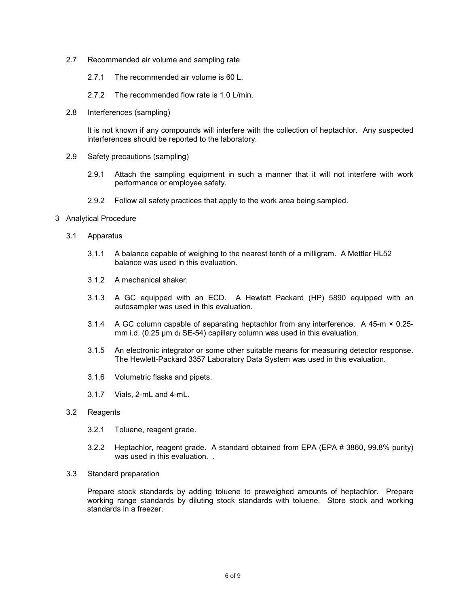- 2.7 Recommended air volume and sampling rate
	- 2.7.1 The recommended air volume is 60 L.
	- 2.7.2 The recommended flow rate is 1.0 L/min.
- 2.8 Interferences (sampling)

It is not known if any compounds will interfere with the collection of heptachlor. Any suspected interferences should be reported to the laboratory.

- 2.9 Safety precautions (sampling)
	- 2.9.1 Attach the sampling equipment in such a manner that it will not interfere with work performance or employee safety.
	- 2.9.2 Follow all safety practices that apply to the work area being sampled.
- 3 Analytical Procedure
	- 3.1 Apparatus
		- 3.1.1 A balance capable of weighing to the nearest tenth of a milligram. A Mettler HL52 balance was used in this evaluation.
		- 3.1.2 A mechanical shaker.
		- 3.1.3 A GC equipped with an ECD. A Hewlett Packard (HP) 5890 equipped with an autosampler was used in this evaluation.
		- 3.1.4 A GC column capable of separating heptachlor from any interference. A 45-m × 0.25 mm i.d. (0.25 µm df SE-54) capillary column was used in this evaluation.
		- 3.1.5 An electronic integrator or some other suitable means for measuring detector response. The Hewlett-Packard 3357 Laboratory Data System was used in this evaluation.
		- 3.1.6 Volumetric flasks and pipets.
		- 3.1.7 Vials, 2-mL and 4-mL.

#### 3.2 Reagents

- 3.2.1 Toluene, reagent grade.
- 3.2.2 Heptachlor, reagent grade. A standard obtained from EPA (EPA # 3860, 99.8% purity) was used in this evaluation...
- 3.3 Standard preparation

Prepare stock standards by adding toluene to preweighed amounts of heptachlor. Prepare working range standards by diluting stock standards with toluene. Store stock and working standards in a freezer.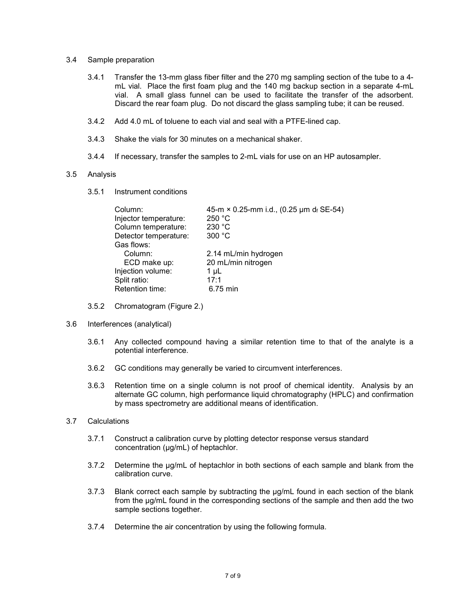- 3.4 Sample preparation
	- 3.4.1 Transfer the 13-mm glass fiber filter and the 270 mg sampling section of the tube to a 4 mL vial. Place the first foam plug and the 140 mg backup section in a separate 4-mL vial. A small glass funnel can be used to facilitate the transfer of the adsorbent. Discard the rear foam plug. Do not discard the glass sampling tube; it can be reused.
	- 3.4.2 Add 4.0 mL of toluene to each vial and seal with a PTFE-lined cap.
	- 3.4.3 Shake the vials for 30 minutes on a mechanical shaker.
	- 3.4.4 If necessary, transfer the samples to 2-mL vials for use on an HP autosampler.

#### 3.5 Analysis

3.5.1 Instrument conditions

| Column:                               | 45-m × 0.25-mm i.d., (0.25 µm df SE-54)    |
|---------------------------------------|--------------------------------------------|
| Injector temperature:                 | 250 °C                                     |
| Column temperature:                   | 230 °C                                     |
| Detector temperature:                 | 300 °C                                     |
| Gas flows:<br>Column:<br>ECD make up: | 2.14 mL/min hydrogen<br>20 mL/min nitrogen |
| Injection volume:                     | $1 \mu L$                                  |
| Split ratio:                          | 17:1                                       |
| Retention time:                       | 6.75 min                                   |

- 3.5.2 Chromatogram (Figure 2.)
- 3.6 Interferences (analytical)
	- 3.6.1 Any collected compound having a similar retention time to that of the analyte is a potential interference.
	- 3.6.2 GC conditions may generally be varied to circumvent interferences.
	- 3.6.3 Retention time on a single column is not proof of chemical identity. Analysis by an alternate GC column, high performance liquid chromatography (HPLC) and confirmation by mass spectrometry are additional means of identification.
- 3.7 Calculations
	- 3.7.1 Construct a calibration curve by plotting detector response versus standard concentration (µg/mL) of heptachlor.
	- 3.7.2 Determine the µg/mL of heptachlor in both sections of each sample and blank from the calibration curve.
	- 3.7.3 Blank correct each sample by subtracting the µg/mL found in each section of the blank from the µg/mL found in the corresponding sections of the sample and then add the two sample sections together.
	- 3.7.4 Determine the air concentration by using the following formula.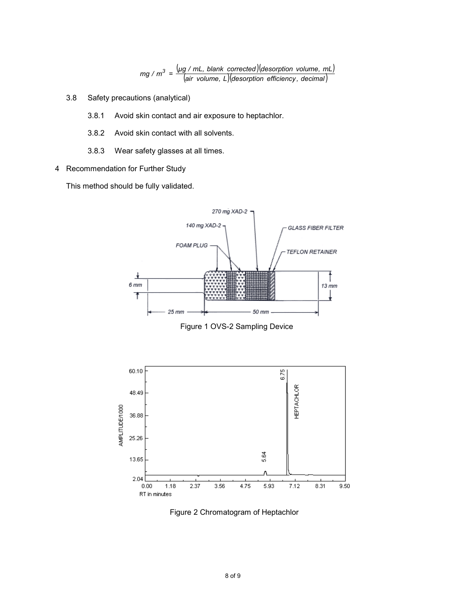$(\mu g$  / mL, blank corrected) (desorption volume, mL) (*air volume, L*)(*desorption efficiency , decimal*) *mg* /  $m^3 = \frac{(\mu g / mL, blank\ correct) (\text{desorption volume}, mL)}{(\text{size velocity, efficiency, density)}}$ 

- 3.8 Safety precautions (analytical)
	- 3.8.1 Avoid skin contact and air exposure to heptachlor.
	- 3.8.2 Avoid skin contact with all solvents.
	- 3.8.3 Wear safety glasses at all times.
- 4 Recommendation for Further Study

This method should be fully validated.



Figure 1 OVS-2 Sampling Device



Figure 2 Chromatogram of Heptachlor